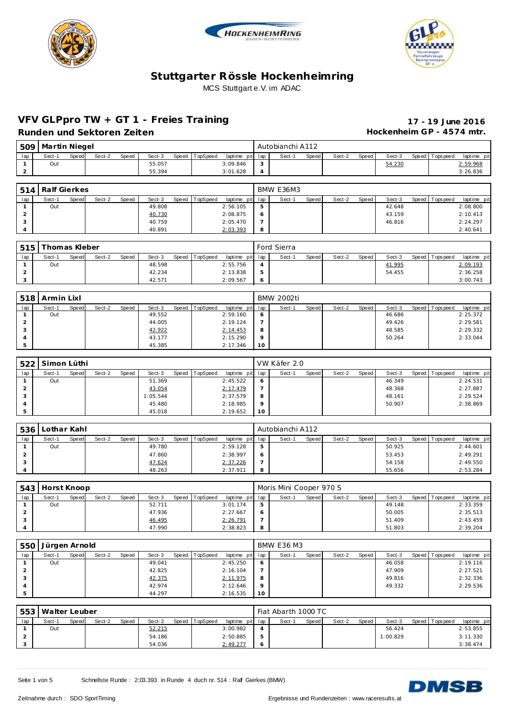





## **VFV GLPpro TW + GT 1 - Freies Training 17 - 19 June 2016**

Runden und Sektoren Zeiten **Munden und Sektoren Zeiten Hockenheim GP** - 4574 mtr.

| 509 | <b>Martin Niegel</b> |       |        |       |        |                |             |     |        | Autobianchi A112 |       |        |       |        |                 |             |
|-----|----------------------|-------|--------|-------|--------|----------------|-------------|-----|--------|------------------|-------|--------|-------|--------|-----------------|-------------|
| lap | Sect-1               | Speed | Sect-2 | Speed | Sect-3 | Speed TopSpeed | laptime pit | lap |        | Sect-1           | Speed | Sect-2 | Speed | Sect-3 | Speed Tops peed | laptime pit |
|     | Out                  |       |        |       | 55.057 |                | 3:09.846    |     | $\sim$ |                  |       |        |       | 54.230 |                 | 2:59.968    |
|     |                      |       |        |       | 55.394 |                | 3:01.628    |     |        |                  |       |        |       |        |                 | 3:26.836    |
|     |                      |       |        |       |        |                |             |     |        |                  |       |        |       |        |                 |             |

| 514 | Ralf Gierkes |       |        |       |        |                |                 |    | BMW E36M3 |       |        |       |        |                 |             |
|-----|--------------|-------|--------|-------|--------|----------------|-----------------|----|-----------|-------|--------|-------|--------|-----------------|-------------|
| lap | Sect-1       | Speed | Sect-2 | Speed | Sect-3 | Speed TopSpeed | laptime pit lap |    | Sect-1    | Speed | Sect-2 | Speed | Sect-3 | Speed Tops peed | laptime pit |
|     | Out          |       |        |       | 49.808 |                | 2:56.105        | 5  |           |       |        |       | 42.648 |                 | 2:08.800    |
|     |              |       |        |       | 40.730 |                | 2:08.875        | -6 |           |       |        |       | 43.159 |                 | 2:10.413    |
|     |              |       |        |       | 40.759 |                | 2:05.470        |    |           |       |        |       | 46.816 |                 | 2:24.297    |
|     |              |       |        |       | 40.891 |                | 2:03.393        | 8  |           |       |        |       |        |                 | 2:40.641    |

| 515 | Thomas Kleber |       |        |       |        |       |          |                 |          | Ford Sierra |       |        |       |        |                   |             |
|-----|---------------|-------|--------|-------|--------|-------|----------|-----------------|----------|-------------|-------|--------|-------|--------|-------------------|-------------|
| lap | Sect-1        | Speed | Sect-2 | Speed | Sect-3 | Speed | TopSpeed | laptime pit lap |          | Sect-1      | Speed | Sect-2 | Speed | Sect-3 | Speed   Tops peed | laptime pit |
|     | Out           |       |        |       | 48.598 |       |          | 2:55.756        | $\Delta$ |             |       |        |       | 41.995 |                   | 2:09.193    |
|     |               |       |        |       | 42.234 |       |          | 2:13.838        | -5       |             |       |        |       | 54.455 |                   | 2:36.258    |
|     |               |       |        |       | 42.571 |       |          | 2:09.567        | $\circ$  |             |       |        |       |        |                   | 3:00.743    |

| 518 | Armin Lixl |       |        |       |        |                |                 |         | BMW 2002ti |       |        |       |        |                 |             |
|-----|------------|-------|--------|-------|--------|----------------|-----------------|---------|------------|-------|--------|-------|--------|-----------------|-------------|
| lap | Sect-1     | Speed | Sect-2 | Speed | Sect-3 | Speed TopSpeed | laptime pit lap |         | Sect-1     | Speed | Sect-2 | Speed | Sect-3 | Speed Tops peed | laptime pit |
|     | Out        |       |        |       | 49.552 |                | 2:59.160        | - 6     |            |       |        |       | 46.686 |                 | 2:25.372    |
|     |            |       |        |       | 44.005 |                | 2:19.124        |         |            |       |        |       | 49.426 |                 | 2:29.581    |
|     |            |       |        |       | 42.922 |                | 2:14.453        | -8      |            |       |        |       | 48.585 |                 | 2:29.332    |
|     |            |       |        |       | 43.177 |                | 2:15.290        | $\circ$ |            |       |        |       | 50.264 |                 | 2:33.044    |
|     |            |       |        |       | 45.385 |                | 2:17.346        | 10      |            |       |        |       |        |                 |             |

| 522 | l Simon Lüthi |       |        |       |          |                |                 |           | VW Käfer 2.0 |       |        |       |        |                 |             |
|-----|---------------|-------|--------|-------|----------|----------------|-----------------|-----------|--------------|-------|--------|-------|--------|-----------------|-------------|
| lap | Sect-1        | Speed | Sect-2 | Speed | Sect-3   | Speed TopSpeed | laptime pit lap |           | Sect-1       | Speed | Sect-2 | Speed | Sect-3 | Speed Tops peed | laptime pit |
|     | Out           |       |        |       | 51.369   |                | 2:45.522        | -6        |              |       |        |       | 46.349 |                 | 2:24.531    |
|     |               |       |        |       | 43.054   |                | 2:17.479        |           |              |       |        |       | 48.368 |                 | 2:27.887    |
|     |               |       |        |       | 1:05.544 |                | 2:37.579        | -8        |              |       |        |       | 48.161 |                 | 2:29.524    |
|     |               |       |        |       | 45.480   |                | 2:18.985        | $\circ$   |              |       |        |       | 50.907 |                 | 2:38.869    |
|     |               |       |        |       | 45.018   |                | 2:19.652        | <b>10</b> |              |       |        |       |        |                 |             |

| 536 | Lothar Kahl |       |        |       |        |                |                 |   | Autobianchi A112 |       |        |       |        |                 |             |
|-----|-------------|-------|--------|-------|--------|----------------|-----------------|---|------------------|-------|--------|-------|--------|-----------------|-------------|
| lap | Sect-1      | Speed | Sect-2 | Speed | Sect-3 | Speed TopSpeed | laptime pit lap |   | Sect-1           | Speed | Sect-2 | Speed | Sect-3 | Speed Tops peed | laptime pit |
|     | Out         |       |        |       | 49.780 |                | 2:59.128        | 5 |                  |       |        |       | 50.925 |                 | 2:44.601    |
|     |             |       |        |       | 47.860 |                | 2:38.997        |   |                  |       |        |       | 53.453 |                 | 2:49.291    |
| - 0 |             |       |        |       | 47.624 |                | 2:37.226        |   |                  |       |        |       | 54.158 |                 | 2:49.550    |
|     |             |       |        |       | 48.263 |                | 2:37.911        | 8 |                  |       |        |       | 55.656 |                 | 2:53.284    |

|     | 543   Horst Knoop |              |        |       |        |       |          |                 |                | Moris Mini Cooper 970 S |       |        |       |        |                 |             |
|-----|-------------------|--------------|--------|-------|--------|-------|----------|-----------------|----------------|-------------------------|-------|--------|-------|--------|-----------------|-------------|
| lap | Sect-1            | <b>Speed</b> | Sect-2 | Speed | Sect-3 | Speed | TopSpeed | laptime pit lap |                | Sect-1                  | Speed | Sect-2 | Speed | Sect-3 | Speed Tops peed | laptime pit |
|     | Out               |              |        |       | 52.711 |       |          | 3:01.174        | 5              |                         |       |        |       | 49.148 |                 | 2:33.359    |
|     |                   |              |        |       | 47.936 |       |          | 2:27.667        | $\ddot{\circ}$ |                         |       |        |       | 50.005 |                 | 2:35.513    |
|     |                   |              |        |       | 46.495 |       |          | 2:26.791        |                |                         |       |        |       | 51.409 |                 | 2:43.459    |
|     |                   |              |        |       | 47.990 |       |          | 2:38.823        | 8              |                         |       |        |       | 51.803 |                 | 2:39.204    |

| 550 | Jürgen Arnold |       |        |       |        |                |                 |         | <b>BMW E36 M3</b> |       |        |       |        |                |             |
|-----|---------------|-------|--------|-------|--------|----------------|-----------------|---------|-------------------|-------|--------|-------|--------|----------------|-------------|
| lap | Sect-1        | Speed | Sect-2 | Speed | Sect-3 | Speed TopSpeed | laptime pit lap |         | Sect-1            | Speed | Sect-2 | Speed | Sect-3 | Speed Topspeed | laptime pit |
|     | Out           |       |        |       | 49.041 |                | 2:45.250        | $\circ$ |                   |       |        |       | 46.058 |                | 2:19.116    |
|     |               |       |        |       | 42.825 |                | 2:16.104        |         |                   |       |        |       | 47.909 |                | 2:27.521    |
| 3   |               |       |        |       | 42.375 |                | 2:11.975        | 8       |                   |       |        |       | 49.816 |                | 2:32.336    |
|     |               |       |        |       | 42.974 |                | 2:12.646        | $\circ$ |                   |       |        |       | 49.332 |                | 2:29.536    |
|     |               |       |        |       | 44.297 |                | 2:16.535        | 10      |                   |       |        |       |        |                |             |

| 553 | Malter Leuber |       |        |       |        |       |          |                 |   | Fiat Abarth 1000 TC |       |        |       |          |                 |             |
|-----|---------------|-------|--------|-------|--------|-------|----------|-----------------|---|---------------------|-------|--------|-------|----------|-----------------|-------------|
| lap | Sect-1        | Speed | Sect-2 | Speed | Sect-3 | Speed | TopSpeed | laptime pit lap |   | Sect-1              | Speed | Sect-2 | Speed | Sect-3   | Speed Tops peed | laptime pit |
|     | Out           |       |        |       | 52.215 |       |          | 3:00.982        | Δ |                     |       |        |       | 56.424   |                 | 2:53.855    |
|     |               |       |        |       | 54.186 |       |          | 2:50.885        | 5 |                     |       |        |       | 1:00.829 |                 | 3:11.330    |
|     |               |       |        |       | 54.036 |       |          | 2:49.277        |   |                     |       |        |       |          |                 | 3:38.474    |

Seite 1 von 5 Schnellste Runde : 2:03.393 in Runde 4 duch nr. 514 : Ralf Gierkes (BMW)

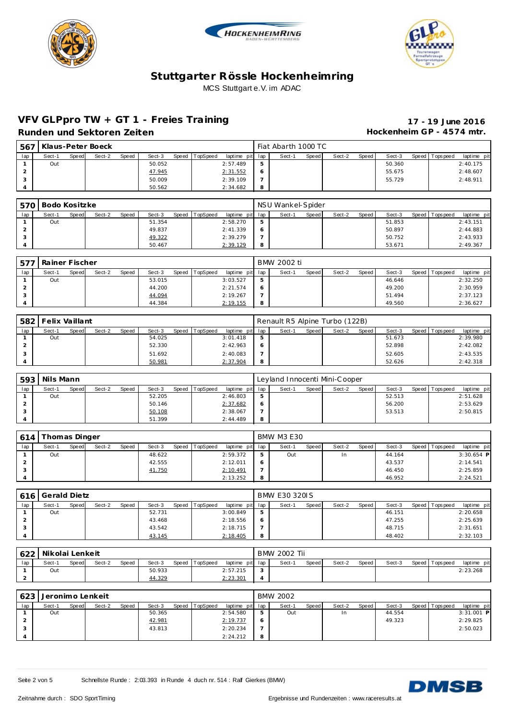





#### **VFV GLPpro TW + GT 1 - Freies Training 17 - 19 June 2016** Runden und Sektoren Zeiten **Munden und Sektoren Zeiten Hockenheim GP** - 4574 mtr.

| 567 |        |       | Klaus-Peter Boeck |       |        |       |          |                 |    | Fiat Abarth 1000 TC |       |        |       |        |                 |             |
|-----|--------|-------|-------------------|-------|--------|-------|----------|-----------------|----|---------------------|-------|--------|-------|--------|-----------------|-------------|
| lap | Sect-1 | Speed | Sect-2            | Speed | Sect-3 | Speed | TopSpeed | laptime pit lap |    | Sect-1              | Speed | Sect-2 | Speed | Sect-3 | Speed Tops peed | laptime pit |
|     | Out    |       |                   |       | 50.052 |       |          | 2:57.489        | -5 |                     |       |        |       | 50.360 |                 | 2:40.175    |
|     |        |       |                   |       | 47.945 |       |          | 2:31.552        |    |                     |       |        |       | 55.675 |                 | 2:48.607    |
|     |        |       |                   |       | 50.009 |       |          | 2:39.109        |    |                     |       |        |       | 55.729 |                 | 2:48.911    |
|     |        |       |                   |       | 50.562 |       |          | 2:34.682        | 8  |                     |       |        |       |        |                 |             |

|     | 570 Bodo Kositzke |       |        |       |        |                |                 |             | NSU Wankel-Spider |       |        |       |        |                 |             |
|-----|-------------------|-------|--------|-------|--------|----------------|-----------------|-------------|-------------------|-------|--------|-------|--------|-----------------|-------------|
| lap | Sect-1            | Speed | Sect-2 | Speed | Sect-3 | Speed TopSpeed | laptime pit lap |             | Sect-1            | Speed | Sect-2 | Speed | Sect-3 | Speed Tops peed | laptime pit |
|     | Out               |       |        |       | 51.354 |                | 2:58.270        | $\mathbf b$ |                   |       |        |       | 51.853 |                 | 2:43.151    |
|     |                   |       |        |       | 49.837 |                | 2: 41.339       | Ô           |                   |       |        |       | 50.897 |                 | 2:44.883    |
|     |                   |       |        |       | 49.322 |                | 2:39.279        |             |                   |       |        |       | 50.752 |                 | 2:43.933    |
|     |                   |       |        |       | 50.467 |                | 2:39.129        | 8           |                   |       |        |       | 53.671 |                 | 2:49.367    |

| 577 | Rainer Fischer |       |        |              |        |                |                 |   | BMW 2002 ti |       |        |       |        |                |             |
|-----|----------------|-------|--------|--------------|--------|----------------|-----------------|---|-------------|-------|--------|-------|--------|----------------|-------------|
| lap | Sect-1         | Speed | Sect-2 | <b>Speed</b> | Sect-3 | Speed TopSpeed | laptime pit lap |   | Sect-1      | Speed | Sect-2 | Speed | Sect-3 | Speed Topspeed | laptime pit |
|     | Out            |       |        |              | 53.015 |                | 3:03.527        | 5 |             |       |        |       | 46.646 |                | 2:32.250    |
|     |                |       |        |              | 44.200 |                | 2:21.574        |   |             |       |        |       | 49.200 |                | 2:30.959    |
| 3   |                |       |        |              | 44.094 |                | 2:19.267        |   |             |       |        |       | 51.494 |                | 2:37.123    |
|     |                |       |        |              | 44.384 |                | 2:19.155        | 8 |             |       |        |       | 49.560 |                | 2:36.627    |

| 582 | Felix Vaillant |       |        |       |        |       |          |                 |   | Renault R5 Alpine Turbo (122B) |         |        |       |        |                 |             |
|-----|----------------|-------|--------|-------|--------|-------|----------|-----------------|---|--------------------------------|---------|--------|-------|--------|-----------------|-------------|
| lap | Sect-1         | Speed | Sect-2 | Speed | Sect-3 | Speed | TopSpeed | laptime pit lap |   | Sect-1                         | Speed I | Sect-2 | Speed | Sect-3 | Speed Tops peed | laptime pit |
|     | Out            |       |        |       | 54.025 |       |          | 3:01.418        | ь |                                |         |        |       | 51.673 |                 | 2:39.980    |
|     |                |       |        |       | 52.330 |       |          | 2:42.963        |   |                                |         |        |       | 52.898 |                 | 2:42.082    |
|     |                |       |        |       | 51.692 |       |          | 2:40.083        |   |                                |         |        |       | 52.605 |                 | 2:43.535    |
|     |                |       |        |       | 50.981 |       |          | 2:37.904        | 8 |                                |         |        |       | 52.626 |                 | 2:42.318    |

| 593 | Nils Mann |       |        |              |        |       |          |                 |    | Leyland Innocenti Mini-Cooper |       |        |       |        |                 |             |
|-----|-----------|-------|--------|--------------|--------|-------|----------|-----------------|----|-------------------------------|-------|--------|-------|--------|-----------------|-------------|
| lap | $Sect-1$  | Speed | Sect-2 | <b>Speed</b> | Sect-3 | Speed | TopSpeed | laptime pit lap |    | Sect-1                        | Speed | Sect-2 | Speed | Sect-3 | Speed Tops peed | laptime pit |
|     | Out       |       |        |              | 52.205 |       |          | 2:46.803        | 5  |                               |       |        |       | 52.513 |                 | 2:51.628    |
|     |           |       |        |              | 50.146 |       |          | 2:37.682        | -6 |                               |       |        |       | 56.200 |                 | 2:53.629    |
|     |           |       |        |              | 50.108 |       |          | 2:38.067        |    |                               |       |        |       | 53.513 |                 | 2:50.815    |
|     |           |       |        |              | 51.399 |       |          | 2:44.489        | -8 |                               |       |        |       |        |                 |             |

|     | 614 Thomas Dinger |       |        |       |        |                |                 |                | BMW M3 E30 |       |           |       |        |                 |              |
|-----|-------------------|-------|--------|-------|--------|----------------|-----------------|----------------|------------|-------|-----------|-------|--------|-----------------|--------------|
| lap | Sect-1            | Speed | Sect-2 | Speed | Sect-3 | Speed TopSpeed | laptime pit lap |                | Sect-1     | Speed | Sect-2    | Speed | Sect-3 | Speed Tops peed | laptime pit  |
|     | Out               |       |        |       | 48.622 |                | 2:59.372        | 5              | Out        |       | <b>In</b> |       | 44.164 |                 | $3:30.654$ P |
|     |                   |       |        |       | 42.555 |                | 2:12.011        | $\ddot{\circ}$ |            |       |           |       | 43.537 |                 | 2:14.541     |
| - 0 |                   |       |        |       | 41.750 |                | 2:10.491        |                |            |       |           |       | 46.450 |                 | 2:25.859     |
|     |                   |       |        |       |        |                | 2:13.252        | -8             |            |       |           |       | 46.952 |                 | 2:24.521     |

| 616 | <b>Gerald Dietz</b> |       |        |       |        |                |                 |   | <b>BMW E30 320IS</b> |       |        |       |        |                 |             |
|-----|---------------------|-------|--------|-------|--------|----------------|-----------------|---|----------------------|-------|--------|-------|--------|-----------------|-------------|
| lap | Sect-1              | Speed | Sect-2 | Speed | Sect-3 | Speed TopSpeed | laptime pit lap |   | Sect-1               | Speed | Sect-2 | Speed | Sect-3 | Speed Tops peed | laptime pit |
|     | Out                 |       |        |       | 52.731 |                | 3:00.849        | 5 |                      |       |        |       | 46.151 |                 | 2:20.658    |
|     |                     |       |        |       | 43.468 |                | 2:18.556        | O |                      |       |        |       | 47.255 |                 | 2:25.639    |
|     |                     |       |        |       | 43.542 |                | 2:18.715        |   |                      |       |        |       | 48.715 |                 | 2:31.651    |
|     |                     |       |        |       | 43.145 |                | 2:18.405        | 8 |                      |       |        |       | 48.402 |                 | 2:32.103    |

| 622 | Nikolai Lenkeit |              |        |              |               |       |          |                 |                | <b>BMW 2002 Tii</b> |       |        |       |        |                 |             |
|-----|-----------------|--------------|--------|--------------|---------------|-------|----------|-----------------|----------------|---------------------|-------|--------|-------|--------|-----------------|-------------|
| lap | Sect-1          | <b>Speed</b> | Sect-2 | <b>Speed</b> | Sect-3        | Speed | TopSpeed | laptime pit lap |                | Sect-1              | Speed | Sect-2 | Speed | Sect-3 | Speed Tops peed | laptime pit |
|     | Out             |              |        |              | 50.933        |       |          | 2:57.215        |                |                     |       |        |       |        |                 | 2:23.268    |
|     |                 |              |        |              | <u>44.329</u> |       |          | 2:23.301        | $\overline{a}$ |                     |       |        |       |        |                 |             |

| 623 |        |       | Jeronimo Lenkeit |       |        |                |                 |   | <b>BMW 2002</b> |       |        |       |        |                 |              |  |
|-----|--------|-------|------------------|-------|--------|----------------|-----------------|---|-----------------|-------|--------|-------|--------|-----------------|--------------|--|
| lap | Sect-1 | Speed | Sect-2           | Speed | Sect-3 | Speed TopSpeed | laptime pit lap |   | Sect-1          | Speed | Sect-2 | Speed | Sect-3 | Speed Tops peed | laptime pit  |  |
|     | Out    |       |                  |       | 50.365 |                | 2:54.580        | 5 | Out             |       |        |       | 44.554 |                 | $3:31.001$ P |  |
|     |        |       |                  |       | 42.981 |                | 2:19.737        | O |                 |       |        |       | 49.323 |                 | 2:29.825     |  |
|     |        |       |                  |       | 43.813 |                | 2:20.234        |   |                 |       |        |       |        |                 | 2:50.023     |  |
|     |        |       |                  |       |        |                | 2:24.212        | 8 |                 |       |        |       |        |                 |              |  |

Seite 2 von 5 Schnellste Runde : 2:03.393 in Runde 4 duch nr. 514 : Ralf Gierkes (BMW)

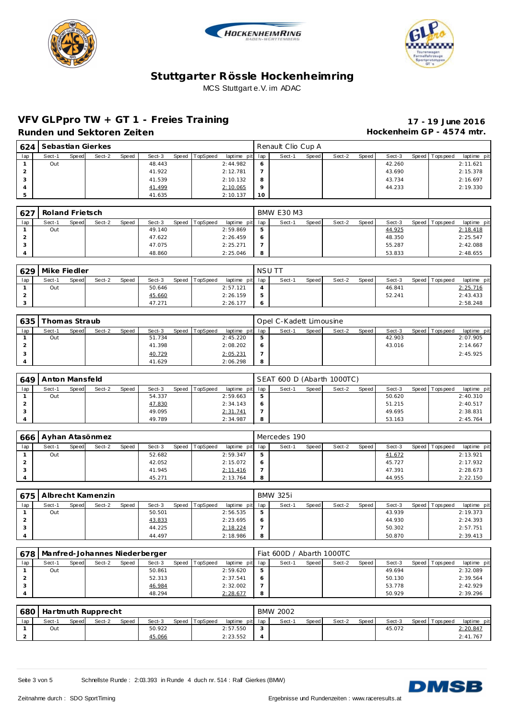





#### **VFV GLPpro TW + GT 1 - Freies Training 17 - 19 June 2016** Runden und Sektoren Zeiten **Munden und Sektoren Zeiten Hockenheim GP** - 4574 mtr.

| 1624 |        |       | Sebastian Gierkes |       |        |       |          |                 |    | Renault Clio Cup A |       |        |       |        |                |             |
|------|--------|-------|-------------------|-------|--------|-------|----------|-----------------|----|--------------------|-------|--------|-------|--------|----------------|-------------|
| lap  | Sect-1 | Speed | Sect-2            | Speed | Sect-3 | Speed | TopSpeed | laptime pit lap |    | Sect-1             | Speed | Sect-2 | Speed | Sect-3 | Speed Topspeed | laptime pit |
|      | Out    |       |                   |       | 48.443 |       |          | 2:44.982        | 6  |                    |       |        |       | 42.260 |                | 2:11.621    |
|      |        |       |                   |       | 41.922 |       |          | 2:12.781        |    |                    |       |        |       | 43.690 |                | 2:15.378    |
|      |        |       |                   |       | 41.539 |       |          | 2:10.132        | 8  |                    |       |        |       | 43.734 |                | 2:16.697    |
|      |        |       |                   |       | 41.499 |       |          | 2:10.065        |    |                    |       |        |       | 44.233 |                | 2:19.330    |
|      |        |       |                   |       | 41.635 |       |          | 2:10.137        | 10 |                    |       |        |       |        |                |             |

| 627 | Roland Frietsch |       |        |       |        |                |                 |    | BMW E30 M3 |       |        |       |        |                |             |
|-----|-----------------|-------|--------|-------|--------|----------------|-----------------|----|------------|-------|--------|-------|--------|----------------|-------------|
| lap | Sect-1          | Speed | Sect-2 | Speed | Sect-3 | Speed TopSpeed | laptime pit lap |    | Sect-1     | Speed | Sect-2 | Speed | Sect-3 | Speed Topspeed | laptime pit |
|     | Out             |       |        |       | 49.140 |                | 2:59.869        | -5 |            |       |        |       | 44.925 |                | 2:18.418    |
|     |                 |       |        |       | 47.622 |                | 2:26.459        | -6 |            |       |        |       | 48.350 |                | 2:25.547    |
|     |                 |       |        |       | 47.075 |                | 2:25.271        |    |            |       |        |       | 55.287 |                | 2:42.088    |
|     |                 |       |        |       | 48.860 |                | 2:25.046        | 8  |            |       |        |       | 53.833 |                | 2:48.655    |

| 629 | Mike Fiedler |       |        |       |        |       |          |                 | <b>NSUT</b>    |        |       |        |       |        |                |             |
|-----|--------------|-------|--------|-------|--------|-------|----------|-----------------|----------------|--------|-------|--------|-------|--------|----------------|-------------|
| lap | Sect-1       | Speed | Sect-2 | Speed | Sect-3 | Speed | TopSpeed | laptime pit lap |                | Sect-1 | Speed | Sect-2 | Speed | Sect-3 | Speed Topspeed | laptime pit |
|     | Out          |       |        |       | 50.646 |       |          | 2:57.121        |                |        |       |        |       | 46.841 |                | 2:25.716    |
|     |              |       |        |       | 45.660 |       |          | 2:26.159        | 5              |        |       |        |       | 52.241 |                | 2:43.433    |
|     |              |       |        |       | 47.271 |       |          | 2:26.177        | $\ddot{\circ}$ |        |       |        |       |        |                | 2:58.248    |

| 635 | Thomas Straub |       |        |       |        |                |                 |   | Opel C-Kadett Limousine |       |        |       |        |       |             |             |
|-----|---------------|-------|--------|-------|--------|----------------|-----------------|---|-------------------------|-------|--------|-------|--------|-------|-------------|-------------|
|     | Sect-1        | Speed | Sect-2 | Speed | Sect-3 | Speed TopSpeed | laptime pit lap |   | Sect-1                  | Speed | Sect-2 | Speed | Sect-3 | Speed | T ops pee d | laptime pit |
|     | Out           |       |        |       | 51.734 |                | 2:45.220        | ь |                         |       |        |       | 42.903 |       |             | 2:07.905    |
|     |               |       |        |       | 41.398 |                | 2:08.202        |   |                         |       |        |       | 43.016 |       |             | 2:14.667    |
|     |               |       |        |       | 40.729 |                | 2:05.231        |   |                         |       |        |       |        |       |             | 2:45.925    |
|     |               |       |        |       | 41.629 |                | 2:06.298        | 8 |                         |       |        |       |        |       |             |             |

| 649 | Anton Mansfeld |       |        |       |        |                |                 |    | SEAT 600 D (Abarth 1000TC) |         |        |       |        |                 |             |
|-----|----------------|-------|--------|-------|--------|----------------|-----------------|----|----------------------------|---------|--------|-------|--------|-----------------|-------------|
| lap | Sect-1         | Speed | Sect-2 | Speed | Sect-3 | Speed TopSpeed | laptime pit lap |    | Sect-1                     | Speed i | Sect-2 | Speed | Sect-3 | Speed Tops peed | laptime pit |
|     | Out            |       |        |       | 54.337 |                | 2:59.663        | -5 |                            |         |        |       | 50.620 |                 | 2:40.310    |
|     |                |       |        |       | 47.830 |                | 2:34.143        | -6 |                            |         |        |       | 51.215 |                 | 2:40.517    |
|     |                |       |        |       | 49.095 |                | 2:31.741        |    |                            |         |        |       | 49.695 |                 | 2:38.831    |
|     |                |       |        |       | 49.789 |                | 2:34.987        | -8 |                            |         |        |       | 53.163 |                 | 2:45.764    |

|     | 666 Ayhan Atasönmez |       |        |       |        |                |                 |    | Mercedes 190 |       |        |       |        |                 |             |
|-----|---------------------|-------|--------|-------|--------|----------------|-----------------|----|--------------|-------|--------|-------|--------|-----------------|-------------|
| lap | Sect-1              | Speed | Sect-2 | Speed | Sect-3 | Speed TopSpeed | laptime pit lap |    | Sect-1       | Speed | Sect-2 | Speed | Sect-3 | Speed Tops peed | laptime pit |
|     | Out                 |       |        |       | 52.682 |                | 2:59.347        | 5  |              |       |        |       | 41.672 |                 | 2:13.921    |
|     |                     |       |        |       | 42.052 |                | 2:15.072        | -6 |              |       |        |       | 45.727 |                 | 2:17.932    |
| - 0 |                     |       |        |       | 41.945 |                | 2:11.416        |    |              |       |        |       | 47.391 |                 | 2:28.673    |
|     |                     |       |        |       | 45.271 |                | 2:13.764        | -8 |              |       |        |       | 44.955 |                 | 2:22.150    |

|     | 675   Albrecht Kamenzin |              |        |       |        |       |          |                 |   | <b>BMW 325i</b> |       |        |       |        |                 |             |
|-----|-------------------------|--------------|--------|-------|--------|-------|----------|-----------------|---|-----------------|-------|--------|-------|--------|-----------------|-------------|
| lap | Sect-1                  | <b>Speed</b> | Sect-2 | Speed | Sect-3 | Speed | TopSpeed | laptime pit lap |   | Sect-1          | Speed | Sect-2 | Speed | Sect-3 | Speed Tops peed | laptime pit |
|     | Out                     |              |        |       | 50.501 |       |          | 2:56.535        |   |                 |       |        |       | 43.939 |                 | 2:19.373    |
|     |                         |              |        |       | 43.833 |       |          | 2:23.695        | 6 |                 |       |        |       | 44.930 |                 | 2:24.393    |
|     |                         |              |        |       | 44.225 |       |          | 2:18.224        |   |                 |       |        |       | 50.302 |                 | 2:57.751    |
|     |                         |              |        |       | 44.497 |       |          | 2:18.986        | 8 |                 |       |        |       | 50.870 |                 | 2:39.413    |

| 678 |        |       |        |              | Manfred-Johannes Niederberger |                |                 |   | Fiat 600D / Abarth 1000TC |       |        |       |        |                 |             |
|-----|--------|-------|--------|--------------|-------------------------------|----------------|-----------------|---|---------------------------|-------|--------|-------|--------|-----------------|-------------|
| lap | Sect-1 | Speed | Sect-2 | <b>Speed</b> | Sect-3                        | Speed TopSpeed | laptime pit lap |   | Sect-1                    | Speed | Sect-2 | Speed | Sect-3 | Speed Tops peed | laptime pit |
|     | Out    |       |        |              | 50.861                        |                | 2:59.620        | 5 |                           |       |        |       | 49.694 |                 | 2:32.089    |
|     |        |       |        |              | 52.313                        |                | 2:37.541        |   |                           |       |        |       | 50.130 |                 | 2:39.564    |
|     |        |       |        |              | 46.984                        |                | 2:32.002        |   |                           |       |        |       | 53.778 |                 | 2:42.929    |
|     |        |       |        |              | 48.294                        |                | 2:28.677        | 8 |                           |       |        |       | 50.929 |                 | 2:39.296    |

| 680 |        |       | Hartmuth Rupprecht |       |        |       |          |                 | <b>BMW 2002</b> |       |        |       |        |                 |             |
|-----|--------|-------|--------------------|-------|--------|-------|----------|-----------------|-----------------|-------|--------|-------|--------|-----------------|-------------|
|     | Sect-1 | Speed | Sect-2             | Speed | Sect-3 | Speed | TopSpeed | laptime pit lap | Sect-1          | Speed | Sect-2 | Speed | Sect-3 | Speed Tops peed | laptime pit |
|     | Out    |       |                    |       | 50.922 |       |          | 2:57.550        |                 |       |        |       | 45.072 |                 | 2:20.847    |
|     |        |       |                    |       | 45.066 |       |          | 2:23.552        |                 |       |        |       |        |                 | 2:41.767    |

Seite 3 von 5 Schnellste Runde : 2:03.393 in Runde 4 duch nr. 514 : Ralf Gierkes (BMW)

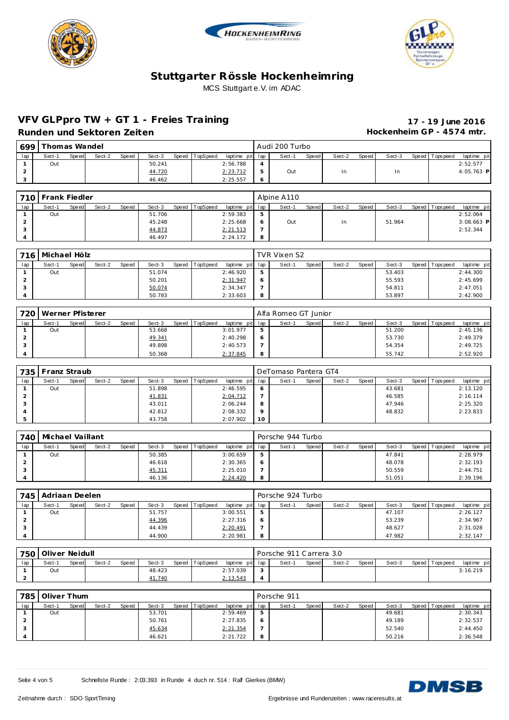





## **VFV GLPpro TW + GT 1 - Freies Training 17 - 19 June 2016**

Runden und Sektoren Zeiten **Munden und Sektoren Zeiten Hockenheim GP** - 4574 mtr.

|     | 699 Thomas Wandel |              |        |              |        |       |          |                 |   | Audi 200 Turbo |       |        |       |        |                 |              |
|-----|-------------------|--------------|--------|--------------|--------|-------|----------|-----------------|---|----------------|-------|--------|-------|--------|-----------------|--------------|
| lap | Sect-1            | <b>Speed</b> | Sect-2 | <b>Speed</b> | Sect-3 | Speed | TopSpeed | laptime pit lap |   | Sect-1         | Speed | Sect-2 | Speed | Sect-3 | Speed Tops peed | laptime pit  |
|     | Out               |              |        |              | 50.241 |       |          | 2:56.788        |   |                |       |        |       |        |                 | 2:52.577     |
|     |                   |              |        |              | 44.720 |       |          | 2:23.712        |   | Out            |       | In.    |       | ln.    |                 | $4:05.763$ P |
|     |                   |              |        |              | 46.462 |       |          | 2:25.557        | Ô |                |       |        |       |        |                 |              |

|     | 710 Frank Fiedler |       |        |       |        |                |                 |   | Alpine A110 |       |        |       |        |                 |              |
|-----|-------------------|-------|--------|-------|--------|----------------|-----------------|---|-------------|-------|--------|-------|--------|-----------------|--------------|
| lap | Sect-1            | Speed | Sect-2 | Speed | Sect-3 | Speed TopSpeed | laptime pit lap |   | Sect-1      | Speed | Sect-2 | Speed | Sect-3 | Speed Tops peed | laptime pit  |
|     | Out               |       |        |       | 51.706 |                | 2:59.383        | 5 |             |       |        |       |        |                 | 2:52.064     |
|     |                   |       |        |       | 45.248 |                | 2:25.668        | O | Out         |       | In     |       | 51.964 |                 | $3:08.663$ P |
|     |                   |       |        |       | 44.873 |                | 2: 21.513       | - |             |       |        |       |        |                 | 2:52.344     |
|     |                   |       |        |       | 46.497 |                | 2:24.172        | 8 |             |       |        |       |        |                 |              |

|     | 716 Michael Hölz |              |        |       |        |       |          |                 |   | TVR Vixen S2 |       |        |       |        |                 |             |
|-----|------------------|--------------|--------|-------|--------|-------|----------|-----------------|---|--------------|-------|--------|-------|--------|-----------------|-------------|
| lap | Sect-1           | <b>Speed</b> | Sect-2 | Speed | Sect-3 | Speed | TopSpeed | laptime pit lap |   | Sect-1       | Speed | Sect-2 | Speed | Sect-3 | Speed Tops peed | laptime pit |
|     | Out              |              |        |       | 51.074 |       |          | 2:46.920        | 5 |              |       |        |       | 53.403 |                 | 2:44.300    |
|     |                  |              |        |       | 50.201 |       |          | 2:31.947        | O |              |       |        |       | 55.593 |                 | 2:45.699    |
|     |                  |              |        |       | 50.074 |       |          | 2:34.347        |   |              |       |        |       | 54.811 |                 | 2:47.051    |
|     |                  |              |        |       | 50.783 |       |          | 2:33.603        | 8 |              |       |        |       | 53.897 |                 | 2:42.900    |

| 720 | Werner Pfisterer |       |        |       |        |       |          |                 |   | Alfa Romeo GT Junior |       |        |       |        |                 |             |
|-----|------------------|-------|--------|-------|--------|-------|----------|-----------------|---|----------------------|-------|--------|-------|--------|-----------------|-------------|
| lap | Sect-1           | Speed | Sect-2 | Speed | Sect-3 | Speed | TopSpeed | laptime pit lap |   | Sect-1               | Speed | Sect-2 | Speed | Sect-3 | Speed Tops peed | laptime pit |
|     | Out              |       |        |       | 53.668 |       |          | 3:01.977        |   |                      |       |        |       | 51.200 |                 | 2:45.136    |
|     |                  |       |        |       | 49.341 |       |          | 2:40.298        |   |                      |       |        |       | 53.730 |                 | 2:49.379    |
|     |                  |       |        |       | 49.898 |       |          | 2:40.573        |   |                      |       |        |       | 54.354 |                 | 2:49.725    |
|     |                  |       |        |       | 50.368 |       |          | 2:37.845        | 8 |                      |       |        |       | 55.742 |                 | 2:52.920    |

|     | 735 | Franz Straub |       |        |       |        |       |          |                 |         | DeTomaso Pantera GT4 |       |        |       |        |                 |             |
|-----|-----|--------------|-------|--------|-------|--------|-------|----------|-----------------|---------|----------------------|-------|--------|-------|--------|-----------------|-------------|
| lap |     | Sect-1       | Speed | Sect-2 | Speed | Sect-3 | Speed | TopSpeed | laptime pit lap |         | Sect-1               | Speed | Sect-2 | Speed | Sect-3 | Speed Tops peed | laptime pit |
|     |     | Out          |       |        |       | 51.898 |       |          | 2:46.595        | $\circ$ |                      |       |        |       | 43.681 |                 | 2:13.120    |
|     |     |              |       |        |       | 41.831 |       |          | 2:04.712        |         |                      |       |        |       | 46.585 |                 | 2:16.114    |
|     |     |              |       |        |       | 43.011 |       |          | 2:06.244        | 8       |                      |       |        |       | 47.946 |                 | 2:25.320    |
|     |     |              |       |        |       | 42.812 |       |          | 2:08.332        | $\circ$ |                      |       |        |       | 48.832 |                 | 2:23.833    |
|     |     |              |       |        |       | 43.758 |       |          | 2:07.902        | 10      |                      |       |        |       |        |                 |             |

| 740 | Michael Vaillant |       |        |       |        |                |                 |     | Porsche 944 Turbo |       |        |       |        |                 |             |
|-----|------------------|-------|--------|-------|--------|----------------|-----------------|-----|-------------------|-------|--------|-------|--------|-----------------|-------------|
| lap | Sect-1           | Speed | Sect-2 | Speed | Sect-3 | Speed TopSpeed | laptime pit lap |     | Sect-1            | Speed | Sect-2 | Speed | Sect-3 | Speed Tops peed | laptime pit |
|     | Out              |       |        |       | 50.385 |                | 3:00.659        | -5  |                   |       |        |       | 47.841 |                 | 2:28.979    |
|     |                  |       |        |       | 46.618 |                | 2:30.365        | -6  |                   |       |        |       | 48.078 |                 | 2:32.193    |
| - 0 |                  |       |        |       | 45.311 |                | 2:25.010        |     |                   |       |        |       | 50.559 |                 | 2:44.751    |
|     |                  |       |        |       | 46.136 |                | 2:24.420        | - 8 |                   |       |        |       | 51.051 |                 | 2:39.196    |

| 745 | Adriaan Deelen<br>Sect-2<br>Speed TopSpeed<br>Speed<br>Sect-3<br>Sect-1<br>Speed<br>51.757<br>Out |  |  |        |  |  |                 |             | Porsche 924 Turbo |       |        |       |        |                 |             |
|-----|---------------------------------------------------------------------------------------------------|--|--|--------|--|--|-----------------|-------------|-------------------|-------|--------|-------|--------|-----------------|-------------|
| lap |                                                                                                   |  |  |        |  |  | laptime pit lap |             | Sect-1            | Speed | Sect-2 | Speed | Sect-3 | Speed Tops peed | laptime pit |
|     |                                                                                                   |  |  |        |  |  | 3:00.551        | $\mathbf b$ |                   |       |        |       | 47.107 |                 | 2:26.127    |
|     |                                                                                                   |  |  | 44.396 |  |  | 2:27.316        | O           |                   |       |        |       | 53.239 |                 | 2:34.967    |
|     |                                                                                                   |  |  | 44.439 |  |  | 2:20.491        |             |                   |       |        |       | 48.627 |                 | 2:31.028    |
|     |                                                                                                   |  |  | 44.900 |  |  | 2:20.981        | 8           |                   |       |        |       | 47.982 |                 | 2:32.147    |

|     | 750 Oliver Neidull |       |        |              |        |       |          |                 |                | Porsche 911 Carrera 3.0 |       |        |       |        |                 |             |
|-----|--------------------|-------|--------|--------------|--------|-------|----------|-----------------|----------------|-------------------------|-------|--------|-------|--------|-----------------|-------------|
| lap | Sect-1             | Speed | Sect-2 | <b>Speed</b> | Sect-3 | Speed | TopSpeed | laptime pit lap |                | Sect-1                  | Speed | Sect-2 | Speed | Sect-3 | Speed Tops peed | laptime pit |
|     | Out                |       |        |              | 48.423 |       |          | 2:57.039        |                |                         |       |        |       |        |                 | 3:16.219    |
|     |                    |       |        |              | 41.740 |       |          | 2:13.543        | $\overline{ }$ |                         |       |        |       |        |                 |             |

| 785 | Oliver Thum |       |        |       |        |       |          |                 |         | Porsche 911 |       |        |       |        |                 |             |
|-----|-------------|-------|--------|-------|--------|-------|----------|-----------------|---------|-------------|-------|--------|-------|--------|-----------------|-------------|
| lap | Sect-1      | Speed | Sect-2 | Speed | Sect-3 | Speed | TopSpeed | laptime pit lap |         | Sect-1      | Speed | Sect-2 | Speed | Sect-3 | Speed Tops peed | laptime pit |
|     | Out         |       |        |       | 53.701 |       |          | 2:59.469        | 5       |             |       |        |       | 49.681 |                 | 2:30.343    |
|     |             |       |        |       | 50.761 |       |          | 2:27.835        | $\circ$ |             |       |        |       | 49.189 |                 | 2:32.537    |
|     |             |       |        |       | 45.634 |       |          | 2: 21.354       |         |             |       |        |       | 52.540 |                 | 2:44.450    |
|     |             |       |        |       | 46.621 |       |          | 2:21.722        | 8       |             |       |        |       | 50.216 |                 | 2:36.548    |

Seite 4 von 5 Schnellste Runde : 2:03.393 in Runde 4 duch nr. 514 : Ralf Gierkes (BMW)